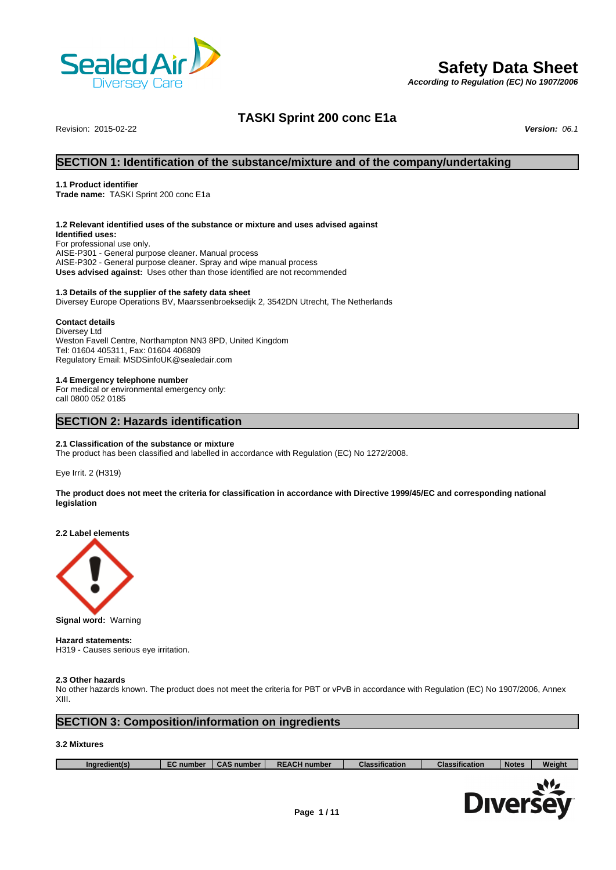

# **Safety Data Sheet**

*According to Regulation (EC) No 1907/2006*

# **TASKI Sprint 200 conc E1a**

Revision: 2015-02-22 *Version: 06.1*

### **SECTION 1: Identification of the substance/mixture and of the company/undertaking**

### **1.1 Product identifier**

**Trade name:** TASKI Sprint 200 conc E1a

### **1.2 Relevant identified uses of the substance or mixture and uses advised against**

**Identified uses:** For professional use only. AISE-P301 - General purpose cleaner. Manual process AISE-P302 - General purpose cleaner. Spray and wipe manual process **Uses advised against:** Uses other than those identified are not recommended

### **1.3 Details of the supplier of the safety data sheet**

Diversey Europe Operations BV, Maarssenbroeksedijk 2, 3542DN Utrecht, The Netherlands

### **Contact details**

Diversey Ltd Weston Favell Centre, Northampton NN3 8PD, United Kingdom Tel: 01604 405311, Fax: 01604 406809 Regulatory Email: MSDSinfoUK@sealedair.com

#### **1.4 Emergency telephone number**

For medical or environmental emergency only: call 0800 052 0185

### **SECTION 2: Hazards identification**

#### **2.1 Classification of the substance or mixture**

The product has been classified and labelled in accordance with Regulation (EC) No 1272/2008.

Eye Irrit. 2 (H319)

**The product does not meet the criteria for classification in accordance with Directive 1999/45/EC and corresponding national legislation**

**2.2 Label elements**



**Signal word:** Warning

**Hazard statements:** H319 - Causes serious eye irritation.

#### **2.3 Other hazards**

No other hazards known. The product does not meet the criteria for PBT or vPvB in accordance with Regulation (EC) No 1907/2006, Annex XIII.

### **SECTION 3: Composition/information on ingredients**

### **3.2 Mixtures**

| Ingredient(s) | <b>EC</b> number | <b>CAS number</b> | <b>REACH number</b> | <b>Classification</b> | <b>Classification</b> | <b>Notes</b> | <b>Weight</b> |
|---------------|------------------|-------------------|---------------------|-----------------------|-----------------------|--------------|---------------|
|               |                  |                   |                     |                       |                       |              |               |
|               |                  |                   |                     |                       |                       |              |               |

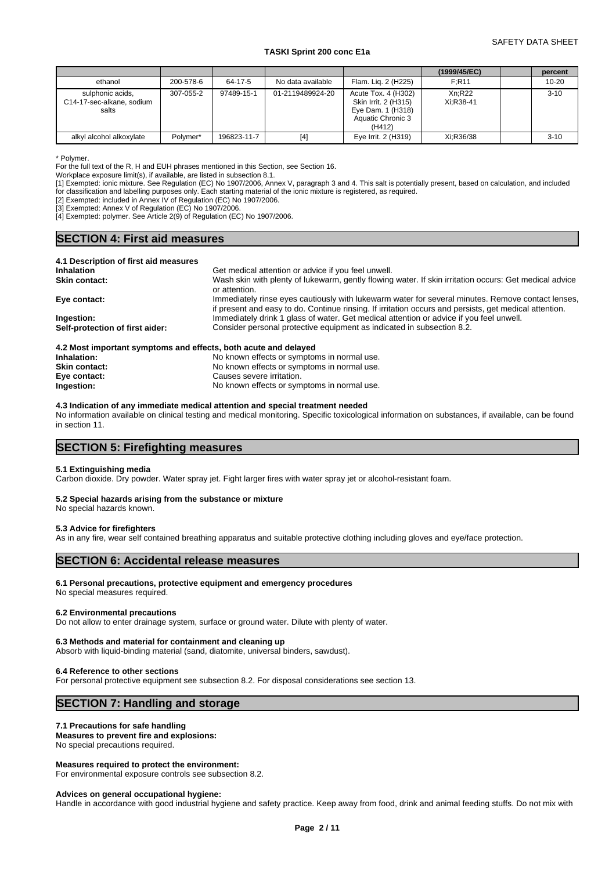### SAFETY DATA SHEET

### **TASKI Sprint 200 conc E1a**

|                                                        |           |             |                   |                                                                                                 | (1999/45/EC)        | percent   |
|--------------------------------------------------------|-----------|-------------|-------------------|-------------------------------------------------------------------------------------------------|---------------------|-----------|
| ethanol                                                | 200-578-6 | 64-17-5     | No data available | Flam. Lig. 2 (H225)                                                                             | F:R11               | $10 - 20$ |
| sulphonic acids,<br>C14-17-sec-alkane, sodium<br>salts | 307-055-2 | 97489-15-1  | 01-2119489924-20  | Acute Tox. 4 (H302)<br>Skin Irrit. 2 (H315)<br>Eye Dam. 1 (H318)<br>Aquatic Chronic 3<br>(H412) | Xn:R22<br>Xi:R38-41 | $3 - 10$  |
| alkyl alcohol alkoxylate                               | Polymer*  | 196823-11-7 | $[4]$             | Eye Irrit. 2 (H319)                                                                             | Xi:R36/38           | $3 - 10$  |

\* Polymer.

For the full text of the R, H and EUH phrases mentioned in this Section, see Section 16.

Workplace exposure limit(s), if available, are listed in subsection 8.1.

[1] Exempted: ionic mixture. See Regulation (EC) No 1907/2006, Annex V, paragraph 3 and 4. This salt is potentially present, based on calculation, and included for classification and labelling purposes only. Each starting material of the ionic mixture is registered, as required.

[2] Exempted: included in Annex IV of Regulation (EC) No 1907/2006.

[3] Exempted: Annex V of Regulation (EC) No 1907/2006.

[4] Exempted: polymer. See Article 2(9) of Regulation (EC) No 1907/2006.

## **SECTION 4: First aid measures**

### **4.1 Description of first aid measures**

| <b>Inhalation</b>               | Get medical attention or advice if you feel unwell.                                                    |
|---------------------------------|--------------------------------------------------------------------------------------------------------|
| Skin contact:                   | Wash skin with plenty of lukewarm, gently flowing water. If skin irritation occurs: Get medical advice |
|                                 | or attention.                                                                                          |
| Eye contact:                    | Immediately rinse eyes cautiously with lukewarm water for several minutes. Remove contact lenses,      |
|                                 | if present and easy to do. Continue rinsing. If irritation occurs and persists, get medical attention. |
| Ingestion:                      | Immediately drink 1 glass of water. Get medical attention or advice if you feel unwell.                |
| Self-protection of first aider: | Consider personal protective equipment as indicated in subsection 8.2.                                 |
|                                 |                                                                                                        |
|                                 |                                                                                                        |

### **4.2 Most important symptoms and effects, both acute and delayed** No known effects or symptoms in normal use. **Skin contact:** No known effects or symptoms in normal use. **Eye contact:** Causes severe irritation. **Ingestion:** No known effects or symptoms in normal use.

**4.3 Indication of any immediate medical attention and special treatment needed**

No information available on clinical testing and medical monitoring. Specific toxicological information on substances, if available, can be found in section 11.

### **SECTION 5: Firefighting measures**

### **5.1 Extinguishing media**

Carbon dioxide. Dry powder. Water spray jet. Fight larger fires with water spray jet or alcohol-resistant foam.

#### **5.2 Special hazards arising from the substance or mixture**

No special hazards known.

### **5.3 Advice for firefighters**

As in any fire, wear self contained breathing apparatus and suitable protective clothing including gloves and eye/face protection.

### **SECTION 6: Accidental release measures**

### **6.1 Personal precautions, protective equipment and emergency procedures**

No special measures required.

#### **6.2 Environmental precautions**

Do not allow to enter drainage system, surface or ground water. Dilute with plenty of water.

### **6.3 Methods and material for containment and cleaning up**

Absorb with liquid-binding material (sand, diatomite, universal binders, sawdust).

#### **6.4 Reference to other sections**

For personal protective equipment see subsection 8.2. For disposal considerations see section 13.

## **SECTION 7: Handling and storage**

### **7.1 Precautions for safe handling**

**Measures to prevent fire and explosions:** No special precautions required.

### **Measures required to protect the environment:**

For environmental exposure controls see subsection 8.2.

### **Advices on general occupational hygiene:**

Handle in accordance with good industrial hygiene and safety practice. Keep away from food, drink and animal feeding stuffs. Do not mix with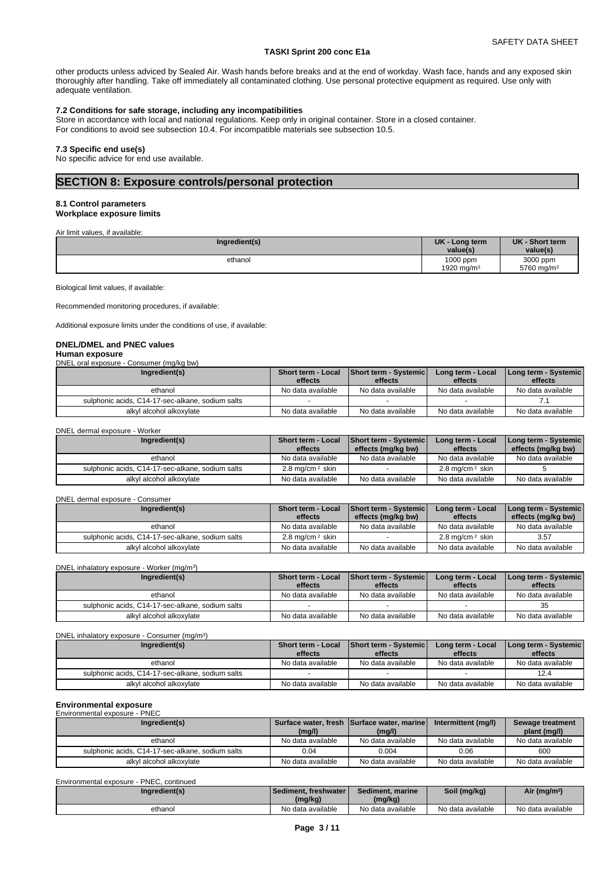other products unless adviced by Sealed Air. Wash hands before breaks and at the end of workday. Wash face, hands and any exposed skin thoroughly after handling. Take off immediately all contaminated clothing. Use personal protective equipment as required. Use only with adequate ventilation.

### **7.2 Conditions for safe storage, including any incompatibilities**

Store in accordance with local and national regulations. Keep only in original container. Store in a closed container. For conditions to avoid see subsection 10.4. For incompatible materials see subsection 10.5.

### **7.3 Specific end use(s)**

No specific advice for end use available.

### **SECTION 8: Exposure controls/personal protection**

### **8.1 Control parameters**

**Workplace exposure limits**

Air limit values, if available:

| Ingredient(s) | <b>UK</b><br>Long term<br>value(s) | <b>UK</b><br>- Short term<br>value(s) |
|---------------|------------------------------------|---------------------------------------|
| ethanol       | 1000 ppm<br>1920 mg/m <sup>3</sup> | 3000 ppm<br>5760 mg/m <sup>3</sup>    |

Biological limit values, if available:

Recommended monitoring procedures, if available:

Additional exposure limits under the conditions of use, if available:

#### **DNEL/DMEL and PNEC values Human exposure**

DNEL oral exposure - Consumer (mg/kg bw)

| Ingredient(s)                                    | <b>Short term - Local</b><br>effects | Short term - Systemic<br>effects | Long term - Local<br>effects | Long term - Systemic  <br>effects |
|--------------------------------------------------|--------------------------------------|----------------------------------|------------------------------|-----------------------------------|
| ethanol                                          | No data available                    | No data available                | No data available            | No data available                 |
| sulphonic acids, C14-17-sec-alkane, sodium salts |                                      |                                  |                              |                                   |
| alkyl alcohol alkoxylate                         | No data available                    | No data available                | No data available            | No data available                 |

DNEL dermal exposure - Worker

| Ingredient(s)                                    | Short term - Local<br>effects | <b>Short term - Systemic</b><br>effects (mg/kg bw) | Long term - Local<br>effects  | Long term - Systemic  <br>effects (mg/kg bw) |
|--------------------------------------------------|-------------------------------|----------------------------------------------------|-------------------------------|----------------------------------------------|
| ethanol                                          | No data available             | No data available                                  | No data available             | No data available                            |
| sulphonic acids, C14-17-sec-alkane, sodium salts | 2.8 mg/cm <sup>2</sup> skin   |                                                    | $2.8$ mg/cm <sup>2</sup> skin |                                              |
| alkyl alcohol alkoxylate                         | No data available             | No data available                                  | No data available             | No data available                            |

#### DNEL dermal exposure - Consumer

| Ingredient(s)                                    | <b>Short term - Local</b><br>effects | <b>Short term - Systemic</b><br>effects (mg/kg bw) | Long term - Local<br>effects  | Long term - Systemic<br>effects (mg/kg bw) |
|--------------------------------------------------|--------------------------------------|----------------------------------------------------|-------------------------------|--------------------------------------------|
| ethanol                                          | No data available                    | No data available                                  | No data available             | No data available                          |
| sulphonic acids, C14-17-sec-alkane, sodium salts | $2.8 \text{ ma/cm}^2$ skin           |                                                    | $2.8$ mg/cm <sup>2</sup> skin | 3.57                                       |
| alkvl alcohol alkoxvlate                         | No data available                    | No data available                                  | No data available             | No data available                          |

DNEL inhalatory exposure - Worker (mg/m<sup>3</sup> ) and  $\overline{\phantom{a}}$ 

| Ingredient(s)                                    | <b>Short term - Local</b> | Short term - Systemic | Long term - Local | Long term - Systemic |
|--------------------------------------------------|---------------------------|-----------------------|-------------------|----------------------|
|                                                  | effects                   | effects               | effects           | effects              |
| ethanol                                          | No data available         | No data available     | No data available | No data available    |
| sulphonic acids, C14-17-sec-alkane, sodium salts |                           |                       |                   | 35                   |
| alkyl alcohol alkoxylate                         | No data available         | No data available     | No data available | No data available    |

DNEL inhalatory exposure - Consumer (mg/m<sup>3</sup>)

| Ingredient(s)                                    | <b>Short term - Local</b> | Short term - Systemic | Long term - Local | Long term - Systemic |
|--------------------------------------------------|---------------------------|-----------------------|-------------------|----------------------|
|                                                  | effects                   | effects               | effects           | effects              |
| ethanol                                          | No data available         | No data available     | No data available | No data available    |
| sulphonic acids, C14-17-sec-alkane, sodium salts |                           |                       |                   | 12.4                 |
| alkyl alcohol alkoxylate                         | No data available         | No data available     | No data available | No data available    |

 $)$ 

### **Environmental exposure**

Environmental exposure - PNEC

| Ingredient(s)                                    |                   | Surface water, fresh Surface water, marine | Intermittent (mg/l) | Sewage treatment  |
|--------------------------------------------------|-------------------|--------------------------------------------|---------------------|-------------------|
|                                                  | (mg/l)            | (mg/l)                                     |                     | plant (mg/l)      |
| ethanol                                          | No data available | No data available                          | No data available   | No data available |
| sulphonic acids, C14-17-sec-alkane, sodium salts | 0.04              | 0.004                                      | 0.06                | 600               |
| alkyl alcohol alkoxylate                         | No data available | No data available                          | No data available   | No data available |

| Environmental exposure - PNEC, continued |                          |                  |              |                         |
|------------------------------------------|--------------------------|------------------|--------------|-------------------------|
| Ingredient(s)                            | l Sediment. freshwater l | Sediment, marine | Soil (mg/kg) | Air (mg/m <sup>3)</sup> |
|                                          | (mg/kg)                  | (mg/kg)          |              |                         |
|                                          |                          |                  |              |                         |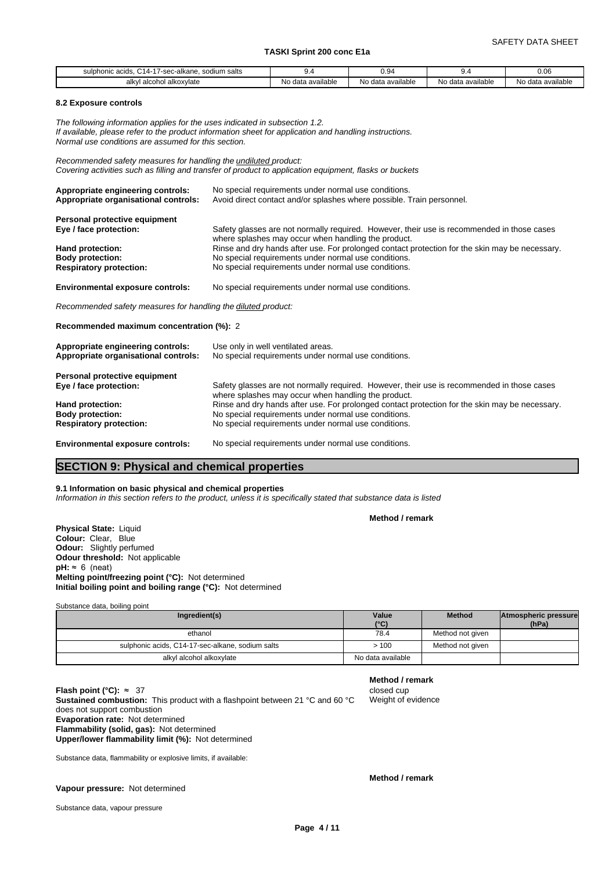| sodium salts<br>Nkane≀<br>sulpho<br>$\sim$<br>auus | . .                    | $\Omega$<br>v.v         | $\mathbf{u}$<br>.             | $\sim$<br>v.vo             |
|----------------------------------------------------|------------------------|-------------------------|-------------------------------|----------------------------|
| l alkoxvlate<br>alkv<br>alcohol                    | N٥<br>) data available | No data available<br>N∩ | $\cdots$<br>No data available | data available<br>N۱<br>שו |

#### **8.2 Exposure controls**

*The following information applies for the uses indicated in subsection 1.2. If available, please refer to the product information sheet for application and handling instructions. Normal use conditions are assumed for this section.*

*Recommended safety measures for handling the undiluted product: Covering activities such as filling and transfer of product to application equipment, flasks or buckets*

| Appropriate engineering controls:<br>Appropriate organisational controls: | No special requirements under normal use conditions.<br>Avoid direct contact and/or splashes where possible. Train personnel.                     |
|---------------------------------------------------------------------------|---------------------------------------------------------------------------------------------------------------------------------------------------|
| Personal protective equipment                                             |                                                                                                                                                   |
| Eye / face protection:                                                    | Safety glasses are not normally required. However, their use is recommended in those cases<br>where splashes may occur when handling the product. |
| Hand protection:                                                          | Rinse and dry hands after use. For prolonged contact protection for the skin may be necessary.                                                    |
| <b>Body protection:</b>                                                   | No special requirements under normal use conditions.                                                                                              |
| <b>Respiratory protection:</b>                                            | No special requirements under normal use conditions.                                                                                              |
| <b>Environmental exposure controls:</b>                                   | No special requirements under normal use conditions.                                                                                              |
| Recommended safety measures for handling the diluted product:             |                                                                                                                                                   |
| Recommended maximum concentration (%): 2                                  |                                                                                                                                                   |
| Appropriate engineering controls:                                         | Use only in well ventilated areas.                                                                                                                |

| No special requirements under normal use conditions.                                                                                              |  |  |  |  |
|---------------------------------------------------------------------------------------------------------------------------------------------------|--|--|--|--|
|                                                                                                                                                   |  |  |  |  |
| Safety glasses are not normally required. However, their use is recommended in those cases<br>where splashes may occur when handling the product. |  |  |  |  |
| Rinse and dry hands after use. For prolonged contact protection for the skin may be necessary.                                                    |  |  |  |  |
| No special requirements under normal use conditions.                                                                                              |  |  |  |  |
| No special requirements under normal use conditions.                                                                                              |  |  |  |  |
|                                                                                                                                                   |  |  |  |  |

**Environmental exposure controls:** No special requirements under normal use conditions.

### **SECTION 9: Physical and chemical properties**

#### **9.1 Information on basic physical and chemical properties**

*Information in this section refers to the product, unless it is specifically stated that substance data is listed*

**Method / remark**

**Physical State:** Liquid **Colour:** Clear, Blue **Odour:** Slightly perfumed **Odour threshold:** Not applicable  $pH: \approx 6$  (neat) **Melting point/freezing point (°C):** Not determined **Initial boiling point and boiling range (°C):** Not determined

Substance data, boiling point

| Ingredient(s)                                    | Value<br>(°C)     | <b>Method</b>    | Atmospheric pressure<br>(hPa) |  |
|--------------------------------------------------|-------------------|------------------|-------------------------------|--|
| ethanol                                          | 78.4              | Method not given |                               |  |
| sulphonic acids, C14-17-sec-alkane, sodium salts | > 100             | Method not given |                               |  |
| alkyl alcohol alkoxylate                         | No data available |                  |                               |  |

### **Method / remark**

Weight of evidence

**Flash point (°C):** ≈ 37 closed cup **Sustained combustion:** This product with a flashpoint between 21 °C and 60 °C does not support combustion **Evaporation rate:** Not determined **Flammability (solid, gas):** Not determined **Upper/lower flammability limit (%):** Not determined

Substance data, flammability or explosive limits, if available:

**Vapour pressure:** Not determined

**Method / remark**

Substance data, vapour pressure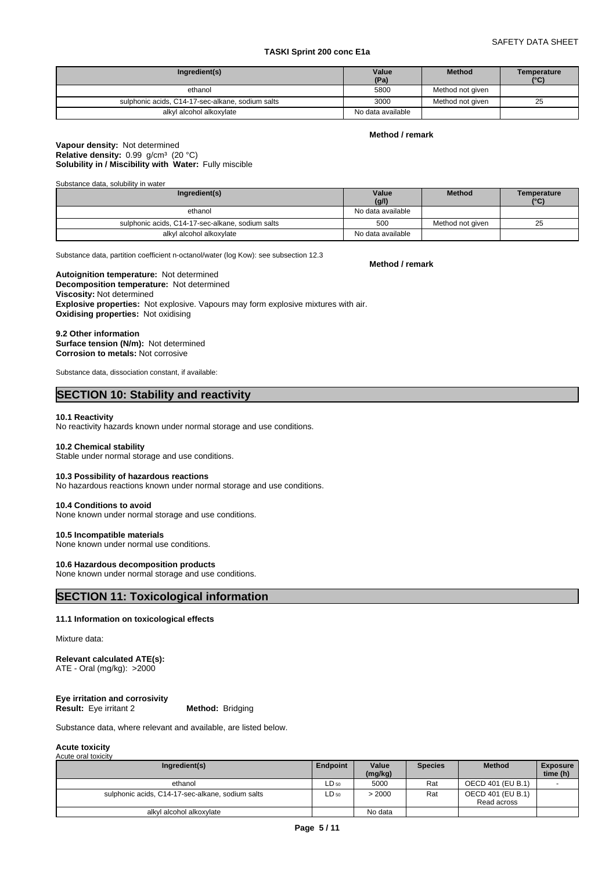### SAFETY DATA SHEET

### **TASKI Sprint 200 conc E1a**

| Ingredient(s)                                    | Value<br>(Pa)     | <b>Method</b>    | Temperature<br>(°C) |
|--------------------------------------------------|-------------------|------------------|---------------------|
| ethanol                                          | 5800              | Method not given |                     |
| sulphonic acids, C14-17-sec-alkane, sodium salts | 3000              | Method not aiven | 25                  |
| alkyl alcohol alkoxylate                         | No data available |                  |                     |

### **Method / remark**

### **Solubility in / Miscibility with Water:** Fully miscible **Vapour density:** Not determined Relative density: 0.99 g/cm<sup>3</sup> (20 °C)

Substance data, solubility in water

| Ingredient(s)                                    | Value             | <b>Method</b>    | Temperature   |
|--------------------------------------------------|-------------------|------------------|---------------|
|                                                  | (g/l)             |                  | $(^{\circ}C)$ |
| ethanol                                          | No data available |                  |               |
| sulphonic acids, C14-17-sec-alkane, sodium salts | 500               | Method not given | 25            |
| alkyl alcohol alkoxylate                         | No data available |                  |               |

Substance data, partition coefficient n-octanol/water (log Kow): see subsection 12.3

**Decomposition temperature:** Not determined **Autoignition temperature:** Not determined **Viscosity:** Not determined **Explosive properties:** Not explosive. Vapours may form explosive mixtures with air. **Oxidising properties:** Not oxidising

**9.2 Other information Surface tension (N/m):** Not determined **Corrosion to metals:** Not corrosive

Substance data, dissociation constant, if available:

## **SECTION 10: Stability and reactivity**

### **10.1 Reactivity**

No reactivity hazards known under normal storage and use conditions.

### **10.2 Chemical stability**

Stable under normal storage and use conditions.

#### **10.3 Possibility of hazardous reactions**

No hazardous reactions known under normal storage and use conditions.

### **10.4 Conditions to avoid** None known under normal storage and use conditions.

### **10.5 Incompatible materials**

None known under normal use conditions.

### **10.6 Hazardous decomposition products**

None known under normal storage and use conditions.

### **SECTION 11: Toxicological information**

#### **11.1 Information on toxicological effects**

### Mixture data:

#### **Relevant calculated ATE(s):** ATE - Oral (mg/kg): >2000

| Eye irritation and corrosivity |                         |  |
|--------------------------------|-------------------------|--|
| <b>Result:</b> Eye irritant 2  | <b>Method: Bridging</b> |  |

Substance data, where relevant and available, are listed below.

#### **Acute toxicity** Acute oral toxicity

| Ingredient(s)                                    | <b>Endpoint</b> | Value<br>(mg/kg) | <b>Species</b> | <b>Method</b>                    | <b>Exposure</b><br>time (h) |
|--------------------------------------------------|-----------------|------------------|----------------|----------------------------------|-----------------------------|
| ethanol                                          | $LD_{50}$       | 5000             | Rat            | OECD 401 (EU B.1)                |                             |
| sulphonic acids, C14-17-sec-alkane, sodium salts | $LD_{50}$       | > 2000           | Rat            | OECD 401 (EU B.1)<br>Read across |                             |
| alkyl alcohol alkoxylate                         |                 | No data          |                |                                  |                             |

**Method / remark**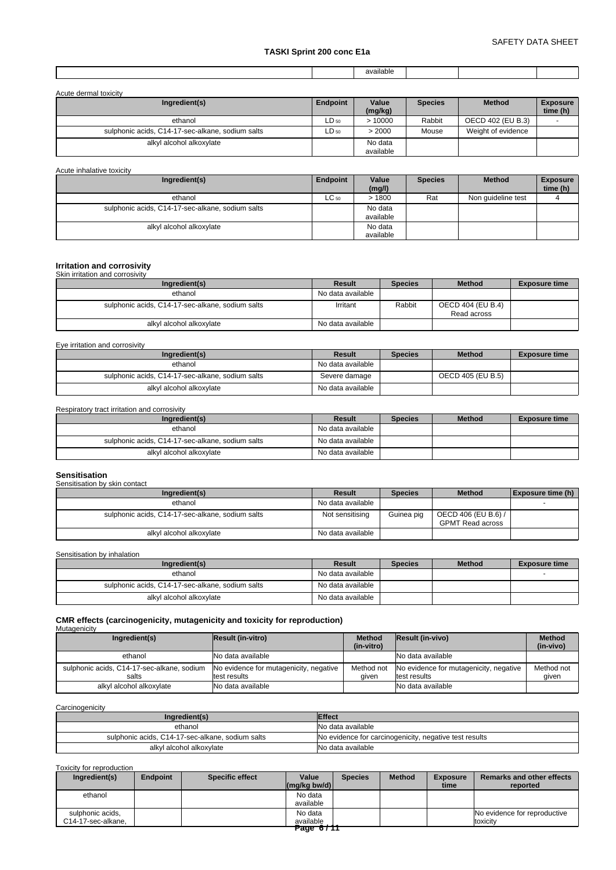|  | available |  |  |
|--|-----------|--|--|
|  |           |  |  |

| Acute dermal toxicity                            |           |                      |                |                    |                             |
|--------------------------------------------------|-----------|----------------------|----------------|--------------------|-----------------------------|
| Ingredient(s)                                    | Endpoint  | Value<br>(mg/kg)     | <b>Species</b> | <b>Method</b>      | <b>Exposure</b><br>time (h) |
| ethanol                                          | $LD_{50}$ | >10000               | Rabbit         | OECD 402 (EU B.3)  |                             |
| sulphonic acids, C14-17-sec-alkane, sodium salts | $LD_{50}$ | > 2000               | Mouse          | Weight of evidence |                             |
| alkyl alcohol alkoxylate                         |           | No data<br>available |                |                    |                             |

Acute inhalative toxicity

| Ingredient(s)                                    | Endpoint  | Value<br>(mg/l)      | <b>Species</b> | <b>Method</b>      | <b>Exposure</b><br>time (h) |
|--------------------------------------------------|-----------|----------------------|----------------|--------------------|-----------------------------|
| ethanol                                          | $LC_{50}$ | >1800                | Rat            | Non quideline test |                             |
| sulphonic acids, C14-17-sec-alkane, sodium salts |           | No data<br>available |                |                    |                             |
| alkyl alcohol alkoxylate                         |           | No data<br>available |                |                    |                             |

#### **Irritation and corrosivity** Skin irritation and corrosivity

| <u> UNITED MANUTE CHIU UUTTUURIN</u>             |                   |                |                                  |                      |  |  |  |
|--------------------------------------------------|-------------------|----------------|----------------------------------|----------------------|--|--|--|
| Ingredient(s)                                    | Result            | <b>Species</b> | <b>Method</b>                    | <b>Exposure time</b> |  |  |  |
| ethanol                                          | No data available |                |                                  |                      |  |  |  |
| sulphonic acids, C14-17-sec-alkane, sodium salts | Irritant          | Rabbit         | OECD 404 (EU B.4)<br>Read across |                      |  |  |  |
| alkyl alcohol alkoxylate                         | No data available |                |                                  |                      |  |  |  |

Eye irritation and corrosivity

| Ingredient(s)                                    | Result            | <b>Species</b> | <b>Method</b>     | <b>Exposure time</b> |
|--------------------------------------------------|-------------------|----------------|-------------------|----------------------|
| ethanol                                          | No data available |                |                   |                      |
| sulphonic acids, C14-17-sec-alkane, sodium salts | Severe damage     |                | OECD 405 (EU B.5) |                      |
| alkyl alcohol alkoxylate                         | No data available |                |                   |                      |

### Respiratory tract irritation and corrosivity

| Ingredient(s)                                    | Result            | <b>Species</b> | <b>Method</b> | <b>Exposure time</b> |
|--------------------------------------------------|-------------------|----------------|---------------|----------------------|
| ethanol                                          | No data available |                |               |                      |
| sulphonic acids, C14-17-sec-alkane, sodium salts | No data available |                |               |                      |
| alkyl alcohol alkoxylate                         | No data available |                |               |                      |

| <b>Sensitisation</b>                             |                   |                |                                                |                   |  |  |  |  |
|--------------------------------------------------|-------------------|----------------|------------------------------------------------|-------------------|--|--|--|--|
| Sensitisation by skin contact                    |                   |                |                                                |                   |  |  |  |  |
| Ingredient(s)                                    | <b>Result</b>     | <b>Species</b> | <b>Method</b>                                  | Exposure time (h) |  |  |  |  |
| ethanol                                          | No data available |                |                                                |                   |  |  |  |  |
| sulphonic acids, C14-17-sec-alkane, sodium salts | Not sensitising   | Guinea pig     | OECD 406 (EU B.6) /<br><b>GPMT Read across</b> |                   |  |  |  |  |
| alkyl alcohol alkoxylate                         | No data available |                |                                                |                   |  |  |  |  |

Sensitisation by inhalation

| Ingredient(s)                                    | Result            | <b>Species</b> | <b>Method</b> | <b>Exposure time</b> |
|--------------------------------------------------|-------------------|----------------|---------------|----------------------|
| ethanol                                          | No data available |                |               |                      |
| sulphonic acids, C14-17-sec-alkane, sodium salts | No data available |                |               |                      |
| alkyl alcohol alkoxylate                         | No data available |                |               |                      |

#### **CMR effects (carcinogenicity, mutagenicity and toxicity for reproduction)** Mutagenicity

| Ingredient(s)                                       | Result (in-vitro)                                      | <b>Method</b><br>(in-vitro) | <b>Result (in-vivo)</b>                                | <b>Method</b><br>(in-vivo) |
|-----------------------------------------------------|--------------------------------------------------------|-----------------------------|--------------------------------------------------------|----------------------------|
| ethanol                                             | No data available                                      |                             | No data available                                      |                            |
| sulphonic acids, C14-17-sec-alkane, sodium<br>salts | No evidence for mutagenicity, negative<br>test results | Method not<br>aiven         | No evidence for mutagenicity, negative<br>test results | Method not<br>aiven        |
| alkyl alcohol alkoxylate                            | No data available                                      |                             | No data available                                      |                            |

**Carcinogenicity** 

| Inaredient(s)                                    | <b>Effect</b>                                          |
|--------------------------------------------------|--------------------------------------------------------|
| ethanol                                          | No data available                                      |
| sulphonic acids, C14-17-sec-alkane, sodium salts | No evidence for carcinogenicity, negative test results |
| alkyl alcohol alkoxylate                         | No data available                                      |

### Toxicity for reproduction

| Ingredient(s)      | <b>Endpoint</b> | <b>Specific effect</b> | Value<br>$\left \frac{\text{mg}}{\text{kg}}\right $ bw/d) | <b>Species</b> | <b>Method</b> | <b>Exposure</b><br>time | <b>Remarks and other effects</b><br>reported |
|--------------------|-----------------|------------------------|-----------------------------------------------------------|----------------|---------------|-------------------------|----------------------------------------------|
| ethanol            |                 |                        | No data<br>available                                      |                |               |                         |                                              |
|                    |                 |                        |                                                           |                |               |                         |                                              |
| sulphonic acids,   |                 |                        | No data                                                   |                |               |                         | No evidence for reproductive                 |
| C14-17-sec-alkane. |                 |                        | available                                                 |                |               |                         | toxicity                                     |
|                    |                 |                        | Page 6/11                                                 |                |               |                         |                                              |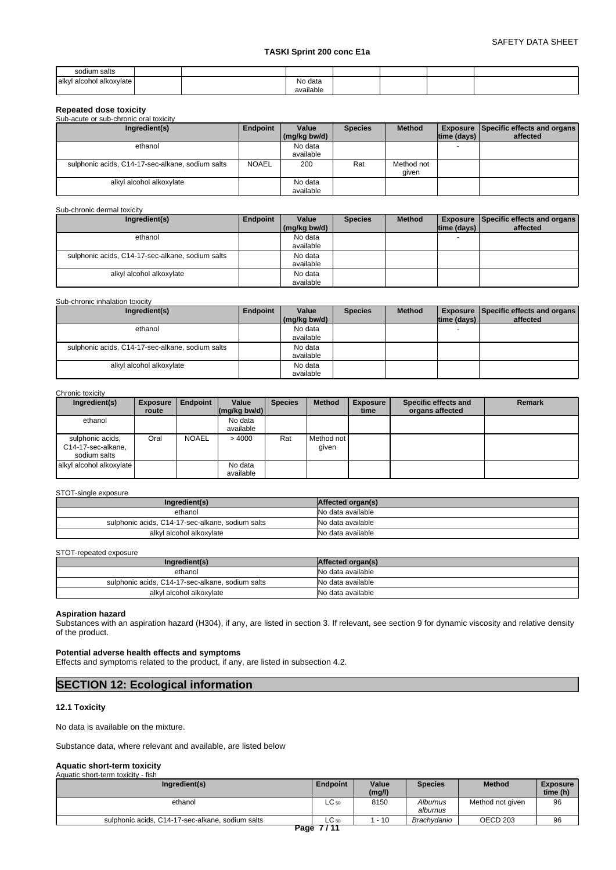| sodium salts                    |  |                      |  |  |
|---------------------------------|--|----------------------|--|--|
| alkyl<br>1 alcohol alkoxylate i |  | No data<br>available |  |  |

### **Repeated dose toxicity**

| Sub-acute or sub-chronic oral toxicity           |              |                      |                |                     |                    |                                                 |
|--------------------------------------------------|--------------|----------------------|----------------|---------------------|--------------------|-------------------------------------------------|
| Ingredient(s)                                    | Endpoint     | Value                | <b>Species</b> | <b>Method</b>       |                    | <b>Exposure   Specific effects and organs  </b> |
|                                                  |              | (mg/kg bw/d)         |                |                     | $ time$ (days) $ $ | affected                                        |
| ethanol                                          |              | No data<br>available |                |                     | <b>.</b>           |                                                 |
| sulphonic acids, C14-17-sec-alkane, sodium salts | <b>NOAEL</b> | 200                  | Rat            | Method not<br>given |                    |                                                 |
| alkyl alcohol alkoxylate                         |              | No data<br>available |                |                     |                    |                                                 |

#### Sub-chronic dermal toxicity

| Ingredient(s)                                    | Endpoint | Value        | <b>Species</b> | <b>Method</b> |             | <b>Exposure Specific effects and organs</b> |
|--------------------------------------------------|----------|--------------|----------------|---------------|-------------|---------------------------------------------|
|                                                  |          | (mg/kg bw/d) |                |               | time (days) | affected                                    |
| ethanol                                          |          | No data      |                |               |             |                                             |
|                                                  |          | available    |                |               |             |                                             |
| sulphonic acids, C14-17-sec-alkane, sodium salts |          | No data      |                |               |             |                                             |
|                                                  |          | available    |                |               |             |                                             |
| alkyl alcohol alkoxylate                         |          | No data      |                |               |             |                                             |
|                                                  |          | available    |                |               |             |                                             |

### Sub-chronic inhalation toxicity

| Ingredient(s)                                    | Endpoint | Value                | <b>Species</b> | <b>Method</b> |             | <b>Exposure Specific effects and organs</b> |  |
|--------------------------------------------------|----------|----------------------|----------------|---------------|-------------|---------------------------------------------|--|
|                                                  |          | $(mq/kg$ bw/d)       |                |               | time (days) | affected                                    |  |
| ethanol                                          |          | No data              |                |               |             |                                             |  |
|                                                  |          | available            |                |               |             |                                             |  |
| sulphonic acids, C14-17-sec-alkane, sodium salts |          | No data<br>available |                |               |             |                                             |  |
| alkyl alcohol alkoxylate                         |          | No data<br>available |                |               |             |                                             |  |

### Chronic toxicity

| Ingredient(s)                                          | <b>Exposure</b><br>route | <b>Endpoint</b> | Value<br>$\left \frac{\text{mag}}{\text{kg}}\right $ (mg/kg bw/d) | <b>Species</b> | <b>Method</b>       | <b>Exposure</b><br>time | Specific effects and<br>organs affected | Remark |
|--------------------------------------------------------|--------------------------|-----------------|-------------------------------------------------------------------|----------------|---------------------|-------------------------|-----------------------------------------|--------|
| ethanol                                                |                          |                 | No data<br>available                                              |                |                     |                         |                                         |        |
| sulphonic acids,<br>C14-17-sec-alkane,<br>sodium salts | Oral                     | <b>NOAEL</b>    | >4000                                                             | Rat            | Method not<br>given |                         |                                         |        |
| alkyl alcohol alkoxylate                               |                          |                 | No data<br>available                                              |                |                     |                         |                                         |        |

### STOT-single exposure

| Ingredient(s)                                    | Affected organ(s) |
|--------------------------------------------------|-------------------|
| ethanol                                          | No data available |
| sulphonic acids, C14-17-sec-alkane, sodium salts | No data available |
| alkyl alcohol alkoxylate                         | No data available |

### STOT-repeated exposure

| Ingredient(s)                                    | Affected organ(s) |
|--------------------------------------------------|-------------------|
| ethanol                                          | No data available |
| sulphonic acids, C14-17-sec-alkane, sodium salts | No data available |
| alkyl alcohol alkoxylate                         | No data available |

### **Aspiration hazard**

Substances with an aspiration hazard (H304), if any, are listed in section 3. If relevant, see section 9 for dynamic viscosity and relative density of the product.

### **Potential adverse health effects and symptoms**

Effects and symptoms related to the product, if any, are listed in subsection 4.2.

### **SECTION 12: Ecological information**

#### **12.1 Toxicity**

No data is available on the mixture.

Substance data, where relevant and available, are listed below

# **Aquatic short-term toxicity** Aquatic short-term toxicity - fish

| AUGUL SHOLFIEHH WAIGHY - IISH                    |                 |                 |                      |                  |                             |
|--------------------------------------------------|-----------------|-----------------|----------------------|------------------|-----------------------------|
| Ingredient(s)                                    | <b>Endpoint</b> | Value<br>(mg/l) | <b>Species</b>       | <b>Method</b>    | <b>Exposure</b><br>time (h) |
| ethanol                                          | $LC_{50}$       | 8150            | Alburnus<br>alburnus | Method not given | 96                          |
| sulphonic acids, C14-17-sec-alkane, sodium salts | $LC_{50}$       | $-10$           | Brachvdanio          | OECD 203         | 96                          |
|                                                  |                 |                 |                      |                  |                             |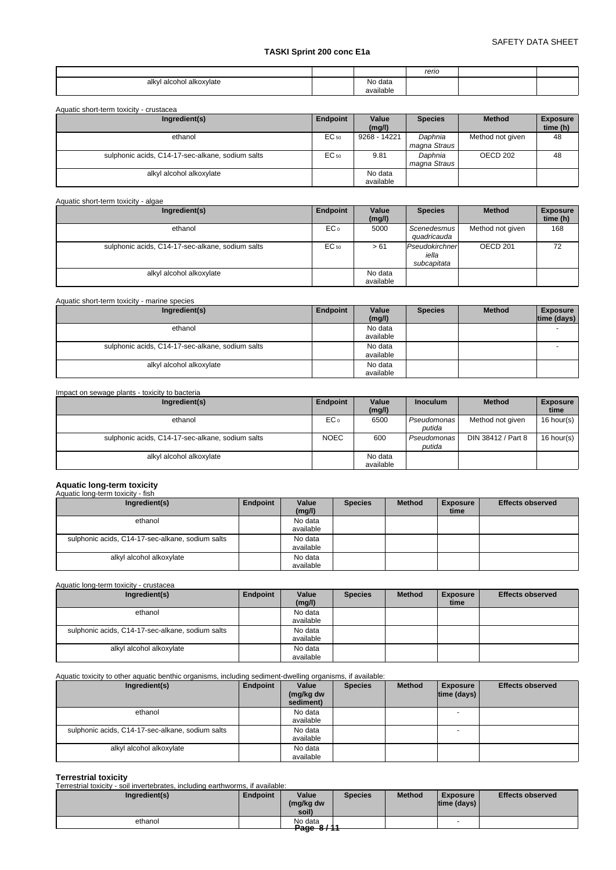|                                         |                      | rerio |  |
|-----------------------------------------|----------------------|-------|--|
| I alcohol alkoxylate<br>alkvl<br>$\sim$ | No data<br>available |       |  |

| Ingredient(s)                                    | Endpoint | Value<br>(mg/l)      | <b>Species</b>          | <b>Method</b>    | <b>Exposure</b><br>time (h) |
|--------------------------------------------------|----------|----------------------|-------------------------|------------------|-----------------------------|
| ethanol                                          | EC 50    | 9268 - 14221         | Daphnia<br>magna Straus | Method not given | 48                          |
| sulphonic acids, C14-17-sec-alkane, sodium salts | EC 50    | 9.81                 | Daphnia<br>magna Straus | OECD 202         | 48                          |
| alkyl alcohol alkoxylate                         |          | No data<br>available |                         |                  |                             |

#### Aquatic short-term toxicity - algae

| Ingredient(s)                                    | Endpoint        | Value                | <b>Species</b>                         | <b>Method</b>    | <b>Exposure</b> |
|--------------------------------------------------|-----------------|----------------------|----------------------------------------|------------------|-----------------|
|                                                  |                 | (mg/l)               |                                        |                  | time (h)        |
| ethanol                                          | EC <sub>o</sub> | 5000                 | Scenedesmus<br>auadricauda             | Method not given | 168             |
| sulphonic acids, C14-17-sec-alkane, sodium salts | EC 50           | > 61                 | Pseudokirchner<br>iella<br>subcapitata | OECD 201         | 72              |
| alkyl alcohol alkoxylate                         |                 | No data<br>available |                                        |                  |                 |

### Aquatic short-term toxicity - marine species

| Ingredient(s)                                    | Endpoint | Value<br>(mg/l) | <b>Species</b> | <b>Method</b> | <b>Exposure</b><br>time (days) |
|--------------------------------------------------|----------|-----------------|----------------|---------------|--------------------------------|
| ethanol                                          |          | No data         |                |               | -                              |
|                                                  |          | available       |                |               |                                |
| sulphonic acids, C14-17-sec-alkane, sodium salts |          | No data         |                |               |                                |
|                                                  |          | available       |                |               |                                |
| alkyl alcohol alkoxylate                         |          | No data         |                |               |                                |
|                                                  |          | available       |                |               |                                |

### Impact on sewage plants - toxicity to bacteria

| Ingredient(s)                                    | Endpoint        | Value<br>(mg/l)      | <b>Inoculum</b>       | <b>Method</b>      | <b>Exposure</b><br>time |
|--------------------------------------------------|-----------------|----------------------|-----------------------|--------------------|-------------------------|
| ethanol                                          | EC <sub>o</sub> | 6500                 | Pseudomonas<br>putida | Method not given   | 16 hour(s)              |
| sulphonic acids, C14-17-sec-alkane, sodium salts | <b>NOEC</b>     | 600                  | Pseudomonas<br>putida | DIN 38412 / Part 8 | 16 hour(s)              |
| alkyl alcohol alkoxylate                         |                 | No data<br>available |                       |                    |                         |

# **Aquatic long-term toxicity** Aquatic long-term toxicity - fish

| Aquatic long-term toxicity - iisn                |          |           |                |               |                 |                         |
|--------------------------------------------------|----------|-----------|----------------|---------------|-----------------|-------------------------|
| Ingredient(s)                                    | Endpoint | Value     | <b>Species</b> | <b>Method</b> | <b>Exposure</b> | <b>Effects observed</b> |
|                                                  |          | (mg/l)    |                |               | time            |                         |
| ethanol                                          |          | No data   |                |               |                 |                         |
|                                                  |          | available |                |               |                 |                         |
| sulphonic acids, C14-17-sec-alkane, sodium salts |          | No data   |                |               |                 |                         |
|                                                  |          | available |                |               |                 |                         |
| alkyl alcohol alkoxylate                         |          | No data   |                |               |                 |                         |
|                                                  |          | available |                |               |                 |                         |

### Aquatic long-term toxicity - crustacea

| Ingredient(s)                                    | Endpoint | Value     | <b>Species</b> | <b>Method</b> | <b>Exposure</b> | <b>Effects observed</b> |
|--------------------------------------------------|----------|-----------|----------------|---------------|-----------------|-------------------------|
|                                                  |          | (mg/l)    |                |               | time            |                         |
| ethanol                                          |          | No data   |                |               |                 |                         |
|                                                  |          | available |                |               |                 |                         |
| sulphonic acids, C14-17-sec-alkane, sodium salts |          | No data   |                |               |                 |                         |
|                                                  |          | available |                |               |                 |                         |
| alkyl alcohol alkoxylate                         |          | No data   |                |               |                 |                         |
|                                                  |          | available |                |               |                 |                         |

### Aquatic toxicity to other aquatic benthic organisms, including sediment-dwelling organisms, if available:

| Ingredient(s)                                    | Endpoint | Value<br>(mg/kg dw<br>sediment) | <b>Species</b> | <b>Method</b> | <b>Exposure</b><br>$ time$ (days) $ $ | <b>Effects observed</b> |
|--------------------------------------------------|----------|---------------------------------|----------------|---------------|---------------------------------------|-------------------------|
| ethanol                                          |          | No data<br>available            |                |               |                                       |                         |
| sulphonic acids, C14-17-sec-alkane, sodium salts |          | No data<br>available            |                |               | $\overline{\phantom{0}}$              |                         |
| alkyl alcohol alkoxylate                         |          | No data<br>available            |                |               |                                       |                         |

### **Terrestrial toxicity**

Terrestrial toxicity - soil invertebrates, including earthworms, if available:

| Ingredient(s) | Endpoint | Value<br>(mg/kg dw<br>soil) | <b>Species</b> | <b>Method</b> | <b>Exposure</b><br> time (days) | <b>Effects observed</b> |
|---------------|----------|-----------------------------|----------------|---------------|---------------------------------|-------------------------|
| ethanol       |          | No data<br><b>Dogo</b> 0/11 |                |               |                                 |                         |
|               |          | <del>age or m</del>         |                |               |                                 |                         |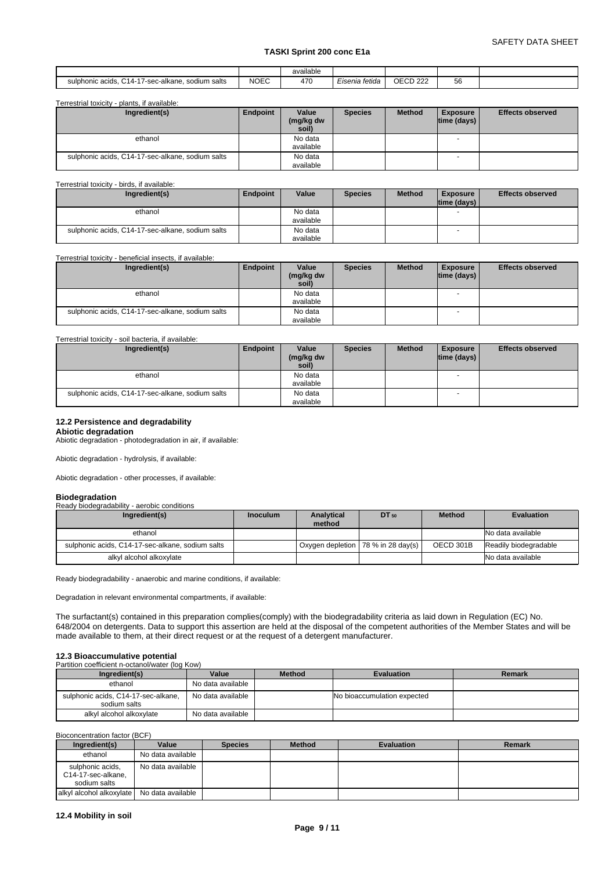|                                                                             |             | .<br>available |                |                                                |                       |  |
|-----------------------------------------------------------------------------|-------------|----------------|----------------|------------------------------------------------|-----------------------|--|
| $\sim$<br>⌒⊿<br>sodium salts<br>sulphonic acids.<br>7-sec-alkane.<br>14- آب | <b>NOEC</b> | 470            | Eisenia fetida | $\bigcap_{n=1}^{\infty}$<br>- UU<br>$\epsilon$ | $-2$<br>$\sim$<br>ັບບ |  |

Terrestrial toxicity - plants, if available:

| Ingredient(s)                                    | Endpoint | Value<br>(mg/kg dw<br>soil) | <b>Species</b> | <b>Method</b> | <b>Exposure</b><br>$ time$ (days) $ $ | <b>Effects observed</b> |
|--------------------------------------------------|----------|-----------------------------|----------------|---------------|---------------------------------------|-------------------------|
| ethanol                                          |          | No data<br>available        |                |               | $\overline{\phantom{a}}$              |                         |
| sulphonic acids, C14-17-sec-alkane, sodium salts |          | No data                     |                |               |                                       |                         |
|                                                  |          | available                   |                |               |                                       |                         |

#### Terrestrial toxicity - birds, if available:

| Ingredient(s)                                    | Endpoint | Value     | <b>Species</b> | <b>Method</b> | <b>Exposure</b> | <b>Effects observed</b> |
|--------------------------------------------------|----------|-----------|----------------|---------------|-----------------|-------------------------|
|                                                  |          |           |                |               | Itime (davs) I  |                         |
| ethanol                                          |          | No data   |                |               |                 |                         |
|                                                  |          | available |                |               |                 |                         |
| sulphonic acids, C14-17-sec-alkane, sodium salts |          | No data   |                |               |                 |                         |
|                                                  |          | available |                |               |                 |                         |

#### Terrestrial toxicity - beneficial insects, if available:

| Ingredient(s)                                    | Endpoint | Value<br>(mg/kg dw<br>soil) | <b>Species</b> | <b>Method</b> | <b>Exposure</b><br>$ time$ (days) $ $ | <b>Effects observed</b> |
|--------------------------------------------------|----------|-----------------------------|----------------|---------------|---------------------------------------|-------------------------|
| ethanol                                          |          | No data                     |                |               |                                       |                         |
|                                                  |          | available                   |                |               |                                       |                         |
| sulphonic acids, C14-17-sec-alkane, sodium salts |          | No data                     |                |               | $\overline{\phantom{a}}$              |                         |
|                                                  |          | available                   |                |               |                                       |                         |

### Terrestrial toxicity - soil bacteria, if available:

| Ingredient(s)                                    | Endpoint | Value              | <b>Species</b> | <b>Method</b> | <b>Exposure</b> | <b>Effects observed</b> |
|--------------------------------------------------|----------|--------------------|----------------|---------------|-----------------|-------------------------|
|                                                  |          | (mg/kg dw<br>soil) |                |               | time (days)     |                         |
|                                                  |          |                    |                |               |                 |                         |
| ethanol                                          |          | No data            |                |               |                 |                         |
|                                                  |          | available          |                |               |                 |                         |
| sulphonic acids, C14-17-sec-alkane, sodium salts |          | No data            |                |               |                 |                         |
|                                                  |          | available          |                |               |                 |                         |

### **12.2 Persistence and degradability**

**Abiotic degradation** Abiotic degradation - photodegradation in air, if available:

Abiotic degradation - hydrolysis, if available:

Abiotic degradation - other processes, if available:

| <b>Biodegradation</b>                            |                 |            |                                      |               |                       |
|--------------------------------------------------|-----------------|------------|--------------------------------------|---------------|-----------------------|
| Ready biodegradability - aerobic conditions      |                 |            |                                      |               |                       |
| Ingredient(s)                                    | <b>Inoculum</b> | Analytical | DT 50                                | <b>Method</b> | <b>Evaluation</b>     |
|                                                  |                 | method     |                                      |               |                       |
| ethanol                                          |                 |            |                                      |               | No data available     |
| sulphonic acids, C14-17-sec-alkane, sodium salts |                 |            | Oxygen depletion   78 % in 28 day(s) | OECD 301B     | Readily biodegradable |
| alkyl alcohol alkoxylate                         |                 |            |                                      |               | No data available     |

Ready biodegradability - anaerobic and marine conditions, if available:

Degradation in relevant environmental compartments, if available:

The surfactant(s) contained in this preparation complies(comply) with the biodegradability criteria as laid down in Regulation (EC) No. 648/2004 on detergents. Data to support this assertion are held at the disposal of the competent authorities of the Member States and will be made available to them, at their direct request or at the request of a detergent manufacturer.

# **12.3 Bioaccumulative potential**<br>Partition coefficient n-octanol/water (log Kow)

| Ingredient(s)                                       | Value             | <b>Method</b> | <b>Evaluation</b>           | Remark |
|-----------------------------------------------------|-------------------|---------------|-----------------------------|--------|
| ethanol                                             | No data available |               |                             |        |
| sulphonic acids, C14-17-sec-alkane,<br>sodium salts | No data available |               | No bioaccumulation expected |        |
| alkyl alcohol alkoxylate                            | No data available |               |                             |        |

Bioconcentration factor (BCF)

| Ingredient(s)                                          | Value             | <b>Species</b> | <b>Method</b> | <b>Evaluation</b> | Remark |
|--------------------------------------------------------|-------------------|----------------|---------------|-------------------|--------|
| ethanol                                                | No data available |                |               |                   |        |
| sulphonic acids,<br>C14-17-sec-alkane,<br>sodium salts | No data available |                |               |                   |        |
| alkyl alcohol alkoxylate   No data available           |                   |                |               |                   |        |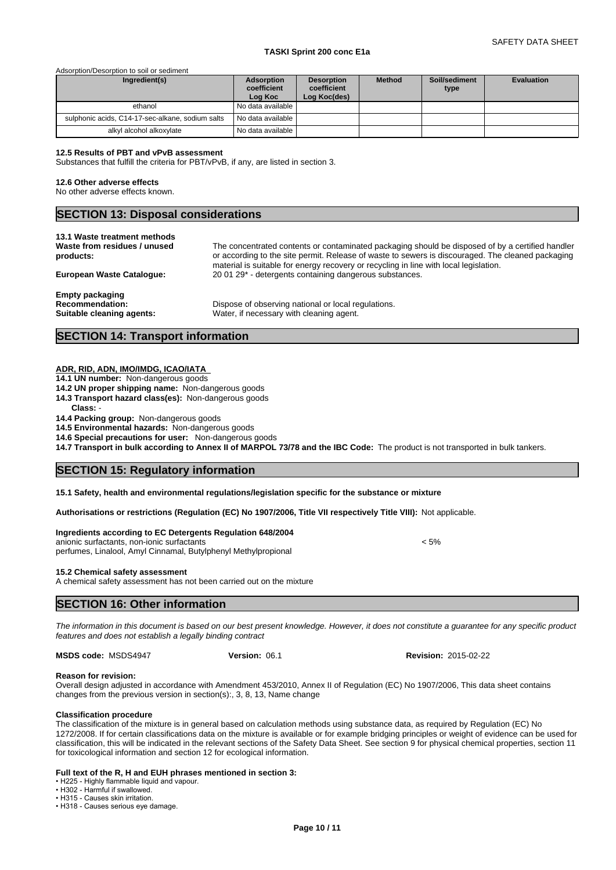#### Adsorption/Desorption to soil or sediment

| Ingredient(s)                                    | Adsorption<br>coefficient<br>Log Koc | <b>Desorption</b><br>coefficient<br>Log Koc(des) | <b>Method</b> | Soil/sediment<br>type | <b>Evaluation</b> |
|--------------------------------------------------|--------------------------------------|--------------------------------------------------|---------------|-----------------------|-------------------|
| ethanol                                          | l No data available I                |                                                  |               |                       |                   |
| sulphonic acids, C14-17-sec-alkane, sodium salts | No data available                    |                                                  |               |                       |                   |
| alkyl alcohol alkoxylate                         | No data available                    |                                                  |               |                       |                   |

### **12.5 Results of PBT and vPvB assessment**

Substances that fulfill the criteria for PBT/vPvB, if any, are listed in section 3.

#### **12.6 Other adverse effects**

No other adverse effects known.

### **SECTION 13: Disposal considerations**

| 13.1 Waste treatment methods                                                  | The concentrated contents or contaminated packaging should be disposed of by a certified handler  |
|-------------------------------------------------------------------------------|---------------------------------------------------------------------------------------------------|
| Waste from residues / unused                                                  | or according to the site permit. Release of waste to sewers is discouraged. The cleaned packaging |
| products:                                                                     | material is suitable for energy recovery or recycling in line with local legislation.             |
| <b>European Waste Cataloque:</b>                                              | 20 01 29 <sup>*</sup> - detergents containing dangerous substances.                               |
| <b>Empty packaging</b><br><b>Recommendation:</b><br>Suitable cleaning agents: | Dispose of observing national or local regulations.<br>Water, if necessary with cleaning agent.   |

### **SECTION 14: Transport information**

### **ADR, RID, ADN, IMO/IMDG, ICAO/IATA**

#### **14.1 UN number:** Non-dangerous goods

- **14.2 UN proper shipping name:** Non-dangerous goods
- **14.3 Transport hazard class(es):** Non-dangerous goods **Class:** -
- **14.4 Packing group:** Non-dangerous goods

**14.5 Environmental hazards:** Non-dangerous goods

**14.6 Special precautions for user:** Non-dangerous goods

**14.7 Transport in bulk according to Annex II of MARPOL 73/78 and the IBC Code:** The product is not transported in bulk tankers.

### **SECTION 15: Regulatory information**

### **15.1 Safety, health and environmental regulations/legislation specific for the substance or mixture**

**Authorisations or restrictions (Regulation (EC) No 1907/2006, Title VII respectively Title VIII):** Not applicable.

#### **Ingredients according to EC Detergents Regulation 648/2004**

anionic surfactants, non-ionic surfactants < 5% perfumes, Linalool, Amyl Cinnamal, Butylphenyl Methylpropional

#### **15.2 Chemical safety assessment**

A chemical safety assessment has not been carried out on the mixture

### **SECTION 16: Other information**

*The information in this document is based on our best present knowledge. However, it does not constitute a guarantee for any specific product features and does not establish a legally binding contract*

#### **MSDS code:** MSDS4947

**Version:** 06.1 **Revision:** 2015-02-22

### **Reason for revision:**

Overall design adjusted in accordance with Amendment 453/2010, Annex II of Regulation (EC) No 1907/2006, This data sheet contains changes from the previous version in section(s):, 3, 8, 13, Name change

#### **Classification procedure**

The classification of the mixture is in general based on calculation methods using substance data, as required by Regulation (EC) No 1272/2008. If for certain classifications data on the mixture is available or for example bridging principles or weight of evidence can be used for classification, this will be indicated in the relevant sections of the Safety Data Sheet. See section 9 for physical chemical properties, section 11 for toxicological information and section 12 for ecological information.

### **Full text of the R, H and EUH phrases mentioned in section 3:**

• H225 - Highly flammable liquid and vapour.

• H302 - Harmful if swallowed

• H315 - Causes skin irritation.

• H318 - Causes serious eye damage.